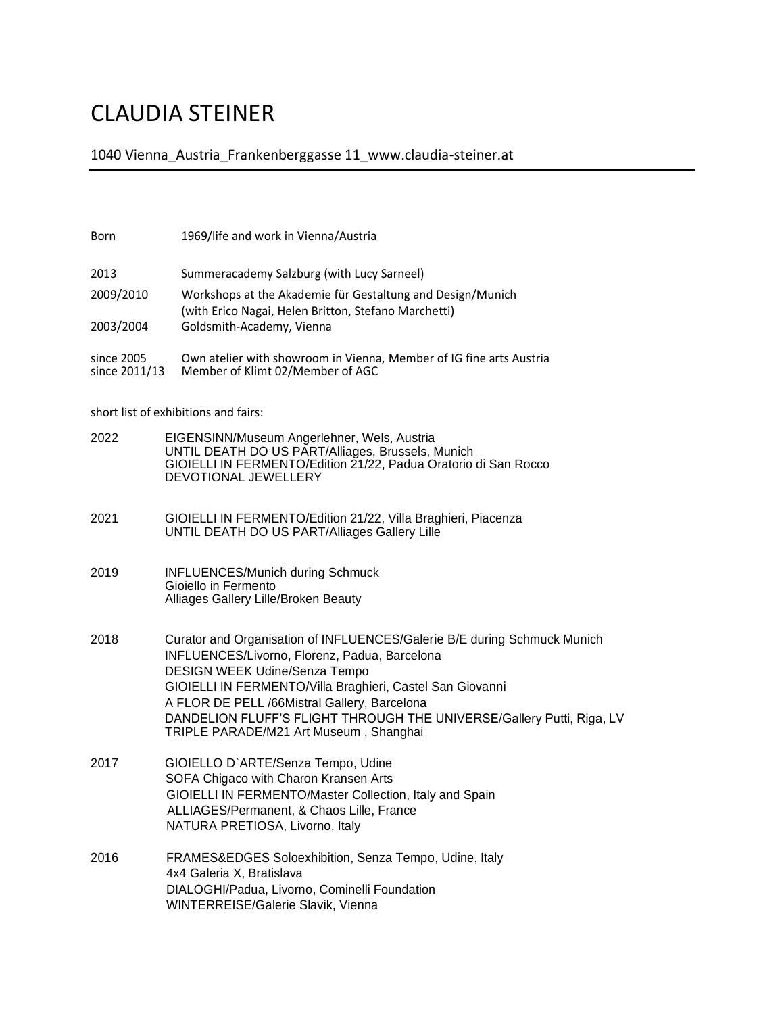## CLAUDIA STEINER

1040 Vienna\_Austria\_Frankenberggasse 11\_www.claudia-steiner.at

| Born                                 | 1969/life and work in Vienna/Austria                                                                                                                                                                                                                                                                                                                                                              |
|--------------------------------------|---------------------------------------------------------------------------------------------------------------------------------------------------------------------------------------------------------------------------------------------------------------------------------------------------------------------------------------------------------------------------------------------------|
| 2013                                 | Summeracademy Salzburg (with Lucy Sarneel)                                                                                                                                                                                                                                                                                                                                                        |
| 2009/2010                            | Workshops at the Akademie für Gestaltung and Design/Munich<br>(with Erico Nagai, Helen Britton, Stefano Marchetti)                                                                                                                                                                                                                                                                                |
| 2003/2004                            | Goldsmith-Academy, Vienna                                                                                                                                                                                                                                                                                                                                                                         |
| since 2005<br>since 2011/13          | Own atelier with showroom in Vienna, Member of IG fine arts Austria<br>Member of Klimt 02/Member of AGC                                                                                                                                                                                                                                                                                           |
| short list of exhibitions and fairs: |                                                                                                                                                                                                                                                                                                                                                                                                   |
| 2022                                 | EIGENSINN/Museum Angerlehner, Wels, Austria<br>UNTIL DEATH DO US PART/Alliages, Brussels, Munich<br>GIOIELLI IN FERMENTO/Edition 21/22, Padua Oratorio di San Rocco<br>DEVOTIONAL JEWELLERY                                                                                                                                                                                                       |
| 2021                                 | GIOIELLI IN FERMENTO/Edition 21/22, Villa Braghieri, Piacenza<br>UNTIL DEATH DO US PART/Alliages Gallery Lille                                                                                                                                                                                                                                                                                    |
| 2019                                 | <b>INFLUENCES/Munich during Schmuck</b><br>Gioiello in Fermento<br>Alliages Gallery Lille/Broken Beauty                                                                                                                                                                                                                                                                                           |
| 2018                                 | Curator and Organisation of INFLUENCES/Galerie B/E during Schmuck Munich<br>INFLUENCES/Livorno, Florenz, Padua, Barcelona<br><b>DESIGN WEEK Udine/Senza Tempo</b><br>GIOIELLI IN FERMENTO/Villa Braghieri, Castel San Giovanni<br>A FLOR DE PELL /66Mistral Gallery, Barcelona<br>DANDELION FLUFF'S FLIGHT THROUGH THE UNIVERSE/Gallery Putti, Riga, LV<br>TRIPLE PARADE/M21 Art Museum, Shanghai |
| 2017                                 | GIOIELLO D'ARTE/Senza Tempo, Udine<br>SOFA Chigaco with Charon Kransen Arts<br>GIOIELLI IN FERMENTO/Master Collection, Italy and Spain<br>ALLIAGES/Permanent, & Chaos Lille, France<br>NATURA PRETIOSA, Livorno, Italy                                                                                                                                                                            |
| 2016                                 | FRAMES&EDGES Soloexhibition, Senza Tempo, Udine, Italy<br>4x4 Galeria X, Bratislava<br>DIALOGHI/Padua, Livorno, Cominelli Foundation<br>WINTERREISE/Galerie Slavik, Vienna                                                                                                                                                                                                                        |